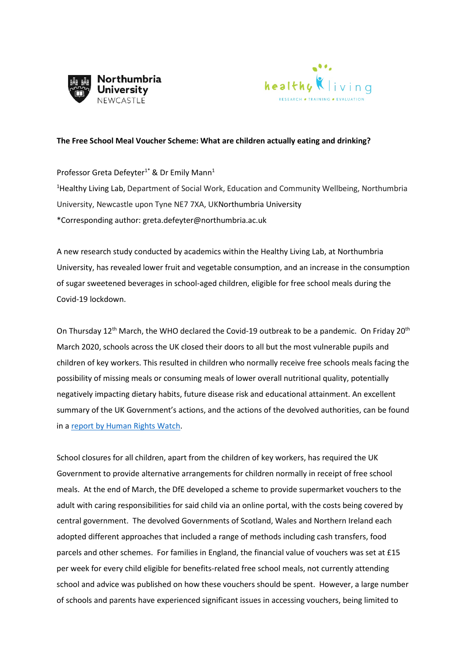



## **The Free School Meal Voucher Scheme: What are children actually eating and drinking?**

Professor Greta Defeyter<sup>1\*</sup> & Dr Emily Mann<sup>1</sup> <sup>1</sup>Healthy Living Lab, Department of Social Work, Education and Community Wellbeing, Northumbria University, Newcastle upon Tyne NE7 7XA, UKNorthumbria University \*Corresponding author: greta.defeyter@northumbria.ac.uk

A new research study conducted by academics within the Healthy Living Lab, at Northumbria University, has revealed lower fruit and vegetable consumption, and an increase in the consumption of sugar sweetened beverages in school-aged children, eligible for free school meals during the Covid-19 lockdown.

On Thursday 12<sup>th</sup> March, the WHO declared the Covid-19 outbreak to be a pandemic. On Friday 20<sup>th</sup> March 2020, schools across the UK closed their doors to all but the most vulnerable pupils and children of key workers. This resulted in children who normally receive free schools meals facing the possibility of missing meals or consuming meals of lower overall nutritional quality, potentially negatively impacting dietary habits, future disease risk and educational attainment. An excellent summary of the UK Government's actions, and the actions of the devolved authorities, can be found in [a report by Human Rights Watch.](https://www.hrw.org/news/2020/05/27/uk-children-england-going-hungry-schools-shut)

School closures for all children, apart from the children of key workers, has required the UK Government to provide alternative arrangements for children normally in receipt of free school meals. At the end of March, the DfE developed a scheme to provide supermarket vouchers to the adult with caring responsibilities for said child via an online portal, with the costs being covered by central government. The devolved Governments of Scotland, Wales and Northern Ireland each adopted different approaches that included a range of methods including cash transfers, food parcels and other schemes. For families in England, the financial value of vouchers was set at £15 per week for every child eligible for benefits-related free school meals, not currently attending school and advice was published on how these vouchers should be spent. However, a large number of schools and parents have experienced significant issues in accessing vouchers, being limited to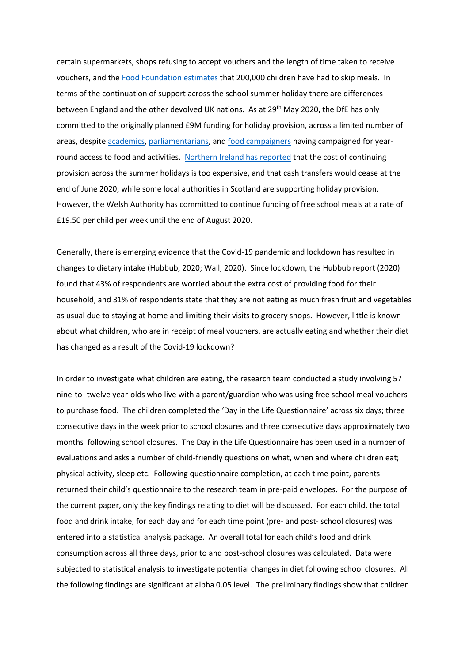certain supermarkets, shops refusing to accept vouchers and the length of time taken to receive vouchers, and th[e Food Foundation estimates](https://foodfoundation.org.uk/new-food-foundationsurvey-three-million-britons-are-going-hungry-just-three-weeks-into-lockdown/) that 200,000 children have had to skip meals. In terms of the continuation of support across the school summer holiday there are differences between England and the other devolved UK nations. As at 29<sup>th</sup> May 2020, the DfE has only committed to the originally planned £9M funding for holiday provision, across a limited number of areas, despite [academics,](https://blogs.bmj.com/bmj/2019/10/23/holiday-hunger-the-government-must-remove-the-inequalities-in-childrens-access-to-holiday-clubs/) [parliamentarians,](https://feedingbritain.org/wp-content/uploads/2019/01/hungry-holidays-1.pdf) and [food campaigners](https://www.endhungeruk.org/2017/01/05/filling-holiday-gap/) having campaigned for yearround access to food and activities. [Northern Ireland has reported](https://www.education-ni.gov.uk/sites/default/files/publications/education/MINISTERIAL%20STATEMENT%20BY%20PETER%20WEIR%20MLA%2021%20MAY%202020.pdf) that the cost of continuing provision across the summer holidays is too expensive, and that cash transfers would cease at the end of June 2020; while some local authorities in Scotland are supporting holiday provision. However, the Welsh Authority has committed to continue funding of free school meals at a rate of £19.50 per child per week until the end of August 2020.

Generally, there is emerging evidence that the Covid-19 pandemic and lockdown has resulted in changes to dietary intake (Hubbub, 2020; Wall, 2020). Since lockdown, the Hubbub report (2020) found that 43% of respondents are worried about the extra cost of providing food for their household, and 31% of respondents state that they are not eating as much fresh fruit and vegetables as usual due to staying at home and limiting their visits to grocery shops. However, little is known about what children, who are in receipt of meal vouchers, are actually eating and whether their diet has changed as a result of the Covid-19 lockdown?

In order to investigate what children are eating, the research team conducted a study involving 57 nine-to- twelve year-olds who live with a parent/guardian who was using free school meal vouchers to purchase food. The children completed the 'Day in the Life Questionnaire' across six days; three consecutive days in the week prior to school closures and three consecutive days approximately two months following school closures. The Day in the Life Questionnaire has been used in a number of evaluations and asks a number of child-friendly questions on what, when and where children eat; physical activity, sleep etc. Following questionnaire completion, at each time point, parents returned their child's questionnaire to the research team in pre-paid envelopes. For the purpose of the current paper, only the key findings relating to diet will be discussed. For each child, the total food and drink intake, for each day and for each time point (pre- and post- school closures) was entered into a statistical analysis package. An overall total for each child's food and drink consumption across all three days, prior to and post-school closures was calculated. Data were subjected to statistical analysis to investigate potential changes in diet following school closures. All the following findings are significant at alpha 0.05 level. The preliminary findings show that children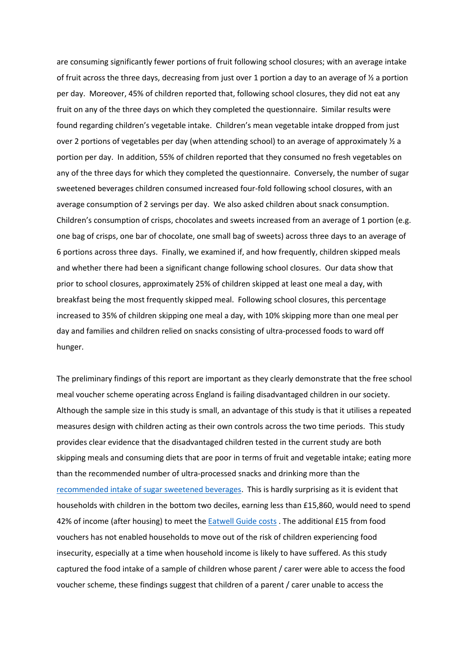are consuming significantly fewer portions of fruit following school closures; with an average intake of fruit across the three days, decreasing from just over 1 portion a day to an average of  $\frac{1}{2}$  a portion per day. Moreover, 45% of children reported that, following school closures, they did not eat any fruit on any of the three days on which they completed the questionnaire. Similar results were found regarding children's vegetable intake. Children's mean vegetable intake dropped from just over 2 portions of vegetables per day (when attending school) to an average of approximately  $\frac{1}{2}$  a portion per day. In addition, 55% of children reported that they consumed no fresh vegetables on any of the three days for which they completed the questionnaire. Conversely, the number of sugar sweetened beverages children consumed increased four-fold following school closures, with an average consumption of 2 servings per day. We also asked children about snack consumption. Children's consumption of crisps, chocolates and sweets increased from an average of 1 portion (e.g. one bag of crisps, one bar of chocolate, one small bag of sweets) across three days to an average of 6 portions across three days. Finally, we examined if, and how frequently, children skipped meals and whether there had been a significant change following school closures. Our data show that prior to school closures, approximately 25% of children skipped at least one meal a day, with breakfast being the most frequently skipped meal. Following school closures, this percentage increased to 35% of children skipping one meal a day, with 10% skipping more than one meal per day and families and children relied on snacks consisting of ultra-processed foods to ward off hunger.

The preliminary findings of this report are important as they clearly demonstrate that the free school meal voucher scheme operating across England is failing disadvantaged children in our society. Although the sample size in this study is small, an advantage of this study is that it utilises a repeated measures design with children acting as their own controls across the two time periods. This study provides clear evidence that the disadvantaged children tested in the current study are both skipping meals and consuming diets that are poor in terms of fruit and vegetable intake; eating more than the recommended number of ultra-processed snacks and drinking more than the [recommended intake of sugar sweetened beverages.](https://www.gov.uk/government/news/phe-urges-parents-to-cut-sugary-drinks-from-childrens-diets) This is hardly surprising as it is evident that households with children in the bottom two deciles, earning less than £15,860, would need to spend 42% of income (after housing) to meet the [Eatwell Guide costs](https://foodfoundation.org.uk/wp-content/uploads/2018/09/Affordability-of-the-Eatwell-Guide_Final_EMBARGOED-Version.pdf) . The additional £15 from food vouchers has not enabled households to move out of the risk of children experiencing food insecurity, especially at a time when household income is likely to have suffered. As this study captured the food intake of a sample of children whose parent / carer were able to access the food voucher scheme, these findings suggest that children of a parent / carer unable to access the